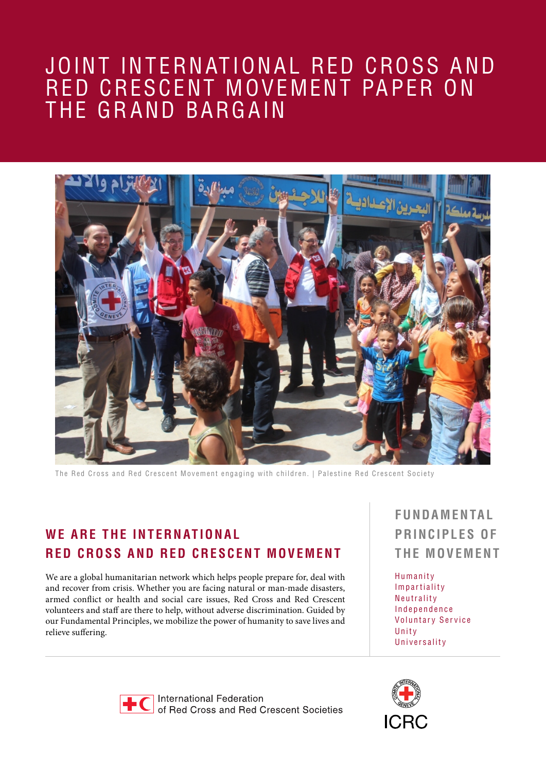## JOINT INTERNATIONAL RED CROSS AND RED CRESCENT MOVEMENT PAPER ON THE GRAND BARGAIN



The Red Cross and Red Crescent Movement engaging with children. | Palestine Red Crescent Society

## **WE ARE THE INTERNATIONAL RED C ROSS AND RED CRESCENT MOVEMENT**

We are a global humanitarian network which helps people prepare for, deal with and recover from crisis. Whether you are facing natural or man-made disasters, armed conflict or health and social care issues, Red Cross and Red Crescent volunteers and staff are there to help, without adverse discrimination. Guided by our Fundamental Principles, we mobilize the power of humanity to save lives and relieve suffering.

**F UNDA M E N TA L PRINCIPLES OF THE MOVEMENT**

Humanity Impartiality Neutrality Independence Voluntary Service Unity Universality



International Federation of Red Cross and Red Crescent Societies

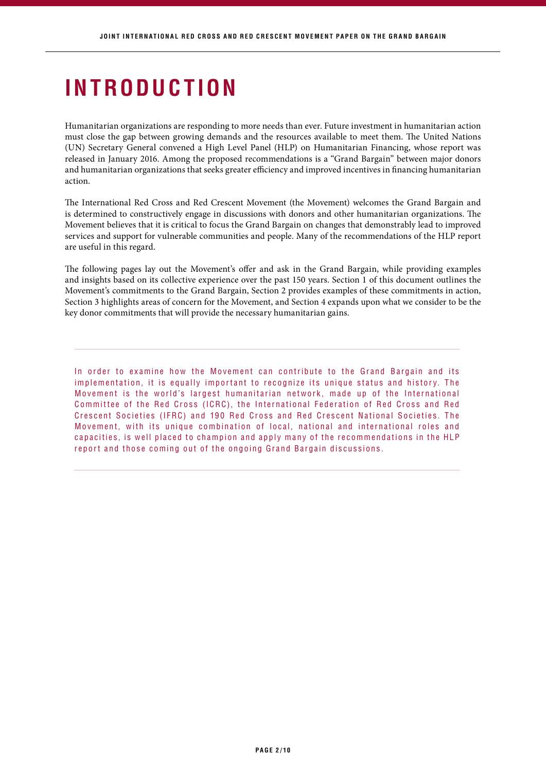## **INTRODUCTION**

Humanitarian organizations are responding to more needs than ever. Future investment in humanitarian action must close the gap between growing demands and the resources available to meet them. The United Nations (UN) Secretary General convened a High Level Panel (HLP) on Humanitarian Financing, whose report was released in January 2016. Among the proposed recommendations is a "Grand Bargain" between major donors and humanitarian organizations that seeks greater efficiency and improved incentives in financing humanitarian action.

The International Red Cross and Red Crescent Movement (the Movement) welcomes the Grand Bargain and is determined to constructively engage in discussions with donors and other humanitarian organizations. The Movement believes that it is critical to focus the Grand Bargain on changes that demonstrably lead to improved services and support for vulnerable communities and people. Many of the recommendations of the HLP report are useful in this regard.

The following pages lay out the Movement's offer and ask in the Grand Bargain, while providing examples and insights based on its collective experience over the past 150 years. Section 1 of this document outlines the Movement's commitments to the Grand Bargain, Section 2 provides examples of these commitments in action, Section 3 highlights areas of concern for the Movement, and Section 4 expands upon what we consider to be the key donor commitments that will provide the necessary humanitarian gains.

In order to examine how the Movement can contribute to the Grand Bargain and its implementation, it is equally important to recognize its unique status and history. The Movement is the world's largest humanitarian network, made up of the International Committee of the Red Cross (ICRC), the International Federation of Red Cross and Red Crescent Societies (IFRC) and 190 Red Cross and Red Crescent National Societies. The Movement, with its unique combination of local, national and international roles and capacities, is well placed to champion and apply many of the recommendations in the HLP report and those coming out of the ongoing Grand Bargain discussions.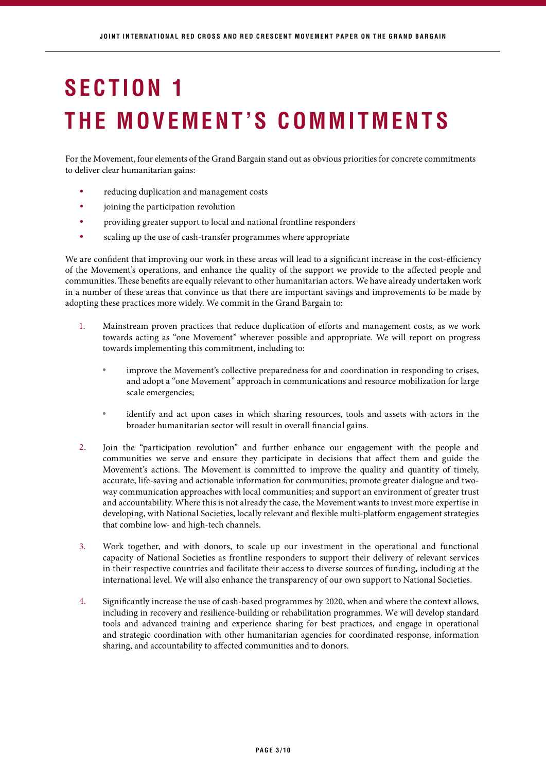# **THE MOVEMENT'S COMMITMENTS SECTION 1**

For the Movement, four elements of the Grand Bargain stand out as obvious priorities for concrete commitments to deliver clear humanitarian gains:

- reducing duplication and management costs •
- joining the participation revolution •
- providing greater support to local and national frontline responders •
- scaling up the use of cash-transfer programmes where appropriate •

We are confident that improving our work in these areas will lead to a significant increase in the cost-efficiency of the Movement's operations, and enhance the quality of the support we provide to the affected people and communities. These benefits are equally relevant to other humanitarian actors. We have already undertaken work in a number of these areas that convince us that there are important savings and improvements to be made by adopting these practices more widely. We commit in the Grand Bargain to:

- Mainstream proven practices that reduce duplication of efforts and management costs, as we work towards acting as "one Movement" wherever possible and appropriate. We will report on progress towards implementing this commitment, including to: 1.
	- improve the Movement's collective preparedness for and coordination in responding to crises, and adopt a "one Movement" approach in communications and resource mobilization for large scale emergencies; •
	- identify and act upon cases in which sharing resources, tools and assets with actors in the broader humanitarian sector will result in overall financial gains. •
- Join the "participation revolution" and further enhance our engagement with the people and communities we serve and ensure they participate in decisions that affect them and guide the Movement's actions. The Movement is committed to improve the quality and quantity of timely, accurate, life-saving and actionable information for communities; promote greater dialogue and twoway communication approaches with local communities; and support an environment of greater trust and accountability. Where this is not already the case, the Movement wants to invest more expertise in developing, with National Societies, locally relevant and flexible multi-platform engagement strategies that combine low- and high-tech channels. 2.
- Work together, and with donors, to scale up our investment in the operational and functional capacity of National Societies as frontline responders to support their delivery of relevant services in their respective countries and facilitate their access to diverse sources of funding, including at the international level. We will also enhance the transparency of our own support to National Societies. 3.
- Significantly increase the use of cash-based programmes by 2020, when and where the context allows, including in recovery and resilience-building or rehabilitation programmes. We will develop standard tools and advanced training and experience sharing for best practices, and engage in operational and strategic coordination with other humanitarian agencies for coordinated response, information sharing, and accountability to affected communities and to donors. 4.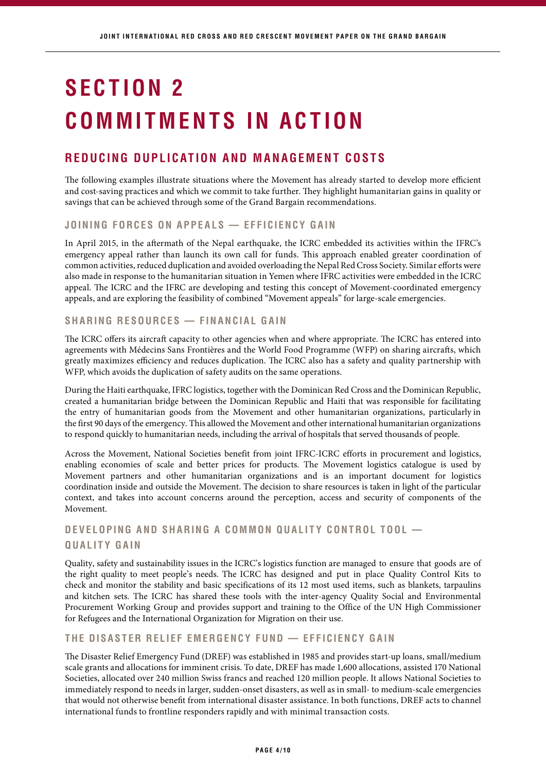# **COMMITMENTS IN ACTION SECTION 2**

## **REDUCING DUPLICATION AND MANAGEMENT COSTS**

The following examples illustrate situations where the Movement has already started to develop more efficient and cost-saving practices and which we commit to take further. They highlight humanitarian gains in quality or savings that can be achieved through some of the Grand Bargain recommendations.

#### **JOINING FORCES ON APPEALS — EFFICIENCY GAIN**

In April 2015, in the aftermath of the Nepal earthquake, the ICRC embedded its activities within the IFRC's emergency appeal rather than launch its own call for funds. This approach enabled greater coordination of common activities, reduced duplication and avoided overloading the Nepal Red Cross Society. Similar efforts were also made in response to the humanitarian situation in Yemen where IFRC activities were embedded in the ICRC appeal. The ICRC and the IFRC are developing and testing this concept of Movement-coordinated emergency appeals, and are exploring the feasibility of combined "Movement appeals" for large-scale emergencies.

#### **SHARING RESOURCES — FINANCIAL GAIN**

The ICRC offers its aircraft capacity to other agencies when and where appropriate. The ICRC has entered into agreements with Médecins Sans Frontières and the World Food Programme (WFP) on sharing aircrafts, which greatly maximizes efficiency and reduces duplication. The ICRC also has a safety and quality partnership with WFP, which avoids the duplication of safety audits on the same operations.

During the Haiti earthquake, IFRC logistics, together with the Dominican Red Cross and the Dominican Republic, created a humanitarian bridge between the Dominican Republic and Haiti that was responsible for facilitating the entry of humanitarian goods from the Movement and other humanitarian organizations, particularly in the first 90 days of the emergency. This allowed the Movement and other international humanitarian organizations to respond quickly to humanitarian needs, including the arrival of hospitals that served thousands of people.

Across the Movement, National Societies benefit from joint IFRC-ICRC efforts in procurement and logistics, enabling economies of scale and better prices for products. The Movement logistics catalogue is used by Movement partners and other humanitarian organizations and is an important document for logistics coordination inside and outside the Movement. The decision to share resources is taken in light of the particular context, and takes into account concerns around the perception, access and security of components of the Movement.

## **DEVELOPING AND SHARING A COMMON QUALITY CONTROL TOOL — QUALITY GAIN**

Quality, safety and sustainability issues in the ICRC's logistics function are managed to ensure that goods are of the right quality to meet people's needs. The ICRC has designed and put in place Quality Control Kits to check and monitor the stability and basic specifications of its 12 most used items, such as blankets, tarpaulins and kitchen sets. The ICRC has shared these tools with the inter-agency Quality Social and Environmental Procurement Working Group and provides support and training to the Office of the UN High Commissioner for Refugees and the International Organization for Migration on their use.

#### **THE DISASTER RELIEF EMERGENCY FUND — EFFICIENCY GAIN**

The Disaster Relief Emergency Fund (DREF) was established in 1985 and provides start-up loans, small/medium scale grants and allocations for imminent crisis. To date, DREF has made 1,600 allocations, assisted 170 National Societies, allocated over 240 million Swiss francs and reached 120 million people. It allows National Societies to immediately respond to needs in larger, sudden-onset disasters, as well as in small- to medium-scale emergencies that would not otherwise benefit from international disaster assistance. In both functions, DREF acts to channel international funds to frontline responders rapidly and with minimal transaction costs.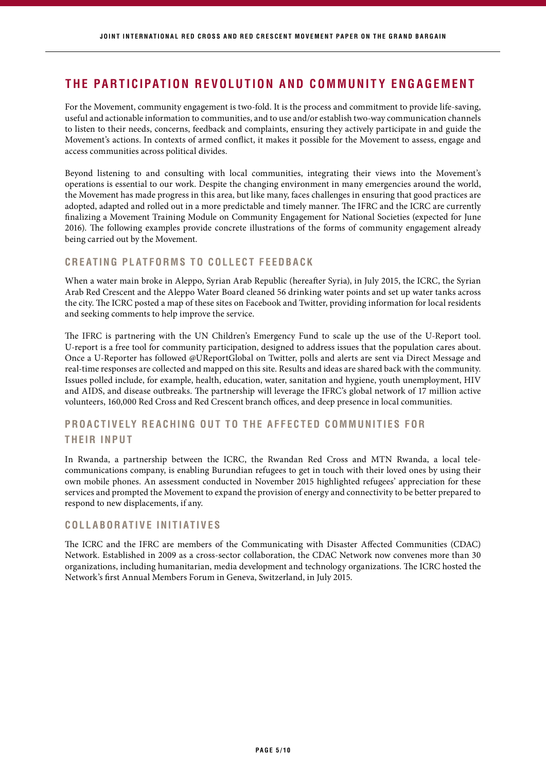## **THE PARTICIPATION REVOLUTION AND COMMUNITY ENGAGEMENT**

For the Movement, community engagement is two-fold. It is the process and commitment to provide life-saving, useful and actionable information to communities, and to use and/or establish two-way communication channels to listen to their needs, concerns, feedback and complaints, ensuring they actively participate in and guide the Movement's actions. In contexts of armed conflict, it makes it possible for the Movement to assess, engage and access communities across political divides.

Beyond listening to and consulting with local communities, integrating their views into the Movement's operations is essential to our work. Despite the changing environment in many emergencies around the world, the Movement has made progress in this area, but like many, faces challenges in ensuring that good practices are adopted, adapted and rolled out in a more predictable and timely manner. The IFRC and the ICRC are currently finalizing a Movement Training Module on Community Engagement for National Societies (expected for June 2016). The following examples provide concrete illustrations of the forms of community engagement already being carried out by the Movement.

#### **CREATING PLATFORMS TO COLLECT FEEDBACK**

When a water main broke in Aleppo, Syrian Arab Republic (hereafter Syria), in July 2015, the ICRC, the Syrian Arab Red Crescent and the Aleppo Water Board cleaned 56 drinking water points and set up water tanks across the city. The ICRC posted a map of these sites on Facebook and Twitter, providing information for local residents and seeking comments to help improve the service.

The IFRC is partnering with the UN Children's Emergency Fund to scale up the use of the U-Report tool. U-report is a free tool for community participation, designed to address issues that the population cares about. Once a U-Reporter has followed @UReportGlobal on Twitter, polls and alerts are sent via Direct Message and real-time responses are collected and mapped on this site. Results and ideas are shared back with the community. Issues polled include, for example, health, education, water, sanitation and hygiene, youth unemployment, HIV and AIDS, and disease outbreaks. The partnership will leverage the IFRC's global network of 17 million active volunteers, 160,000 Red Cross and Red Crescent branch offices, and deep presence in local communities.

### **PROACTIVELY REACHING OUT TO THE AFFECTED COMMUNITIES FOR THEIR INPUT**

In Rwanda, a partnership between the ICRC, the Rwandan Red Cross and MTN Rwanda, a local telecommunications company, is enabling Burundian refugees to get in touch with their loved ones by using their own mobile phones. An assessment conducted in November 2015 highlighted refugees' appreciation for these services and prompted the Movement to expand the provision of energy and connectivity to be better prepared to respond to new displacements, if any.

#### **C O L L A B O R AT I V E I N I T I AT I V E S**

The ICRC and the IFRC are members of the Communicating with Disaster Affected Communities (CDAC) Network. Established in 2009 as a cross-sector collaboration, the CDAC Network now convenes more than 30 organizations, including humanitarian, media development and technology organizations. The ICRC hosted the Network's first Annual Members Forum in Geneva, Switzerland, in July 2015.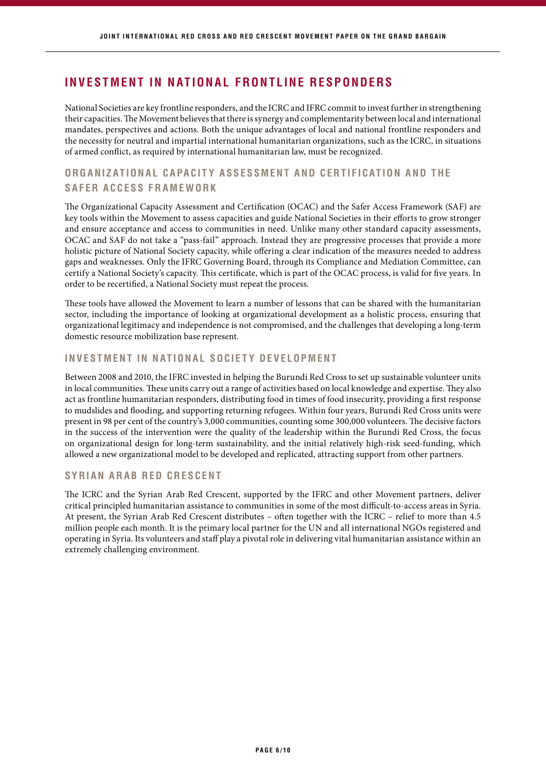## **INVESTMENT IN NATIONAL FRONTLINE RESPONDERS**

National Societies are key frontline responders, and the ICRC and IFRC commit to invest further in strengthening their capacities. The Movement believes that there is synergy and complementarity between local and international mandates, perspectives and actions. Both the unique advantages of local and national frontline responders and the necessity for neutral and impartial international humanitarian organizations, such as the ICRC, in situations of armed conflict, as required by international humanitarian law, must be recognized.

### **ORGANIZATIONAL CAPACITY ASSESSMENT AND CERTIFICATION AND THE S A F E R A C C E S S F R A M E W O R K**

The Organizational Capacity Assessment and Certification (OCAC) and the Safer Access Framework (SAF) are key tools within the Movement to assess capacities and guide National Societies in their efforts to grow stronger and ensure acceptance and access to communities in need. Unlike many other standard capacity assessments, OCAC and SAF do not take a "pass-fail" approach. Instead they are progressive processes that provide a more holistic picture of National Society capacity, while offering a clear indication of the measures needed to address gaps and weaknesses. Only the IFRC Governing Board, through its Compliance and Mediation Committee, can certify a National Society's capacity. This certificate, which is part of the OCAC process, is valid for five years. In order to be recertified, a National Society must repeat the process.

These tools have allowed the Movement to learn a number of lessons that can be shared with the humanitarian sector, including the importance of looking at organizational development as a holistic process, ensuring that organizational legitimacy and independence is not compromised, and the challenges that developing a long-term domestic resource mobilization base represent.

#### **INVESTMENT IN NATIONAL SOCIETY DEVELOPMENT**

Between 2008 and 2010, the IFRC invested in helping the Burundi Red Cross to set up sustainable volunteer units in local communities. These units carry out a range of activities based on local knowledge and expertise. They also act as frontline humanitarian responders, distributing food in times of food insecurity, providing a first response to mudslides and flooding, and supporting returning refugees. Within four years, Burundi Red Cross units were present in 98 per cent of the country's 3,000 communities, counting some 300,000 volunteers. The decisive factors in the success of the intervention were the quality of the leadership within the Burundi Red Cross, the focus on organizational design for long-term sustainability, and the initial relatively high-risk seed-funding, which allowed a new organizational model to be developed and replicated, attracting support from other partners.

#### **SYRIAN ARAB RED CRESCENT**

The ICRC and the Syrian Arab Red Crescent, supported by the IFRC and other Movement partners, deliver critical principled humanitarian assistance to communities in some of the most difficult-to-access areas in Syria. At present, the Syrian Arab Red Crescent distributes – often together with the ICRC – relief to more than 4.5 million people each month. It is the primary local partner for the UN and all international NGOs registered and operating in Syria. Its volunteers and staff play a pivotal role in delivering vital humanitarian assistance within an extremely challenging environment.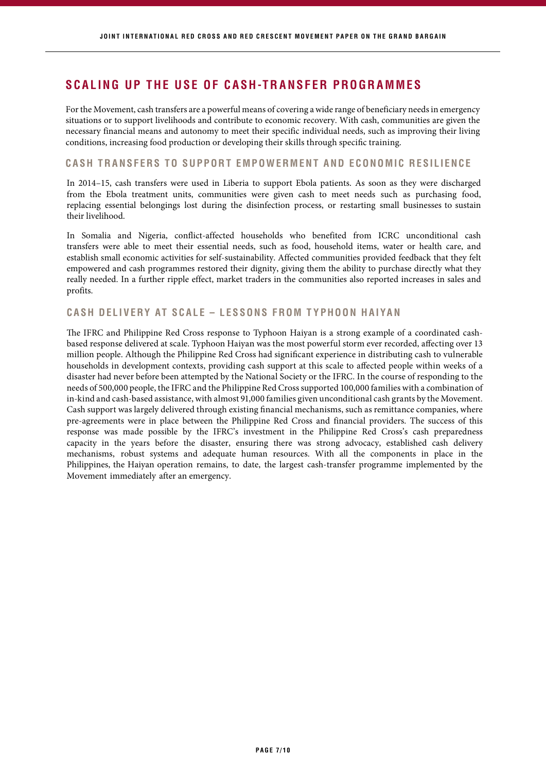## **SCALING UP THE USE OF CASH-TRANSFER PROGRAMMES**

For the Movement, cash transfers are a powerful means of covering a wide range of beneficiary needs in emergency situations or to support livelihoods and contribute to economic recovery. With cash, communities are given the necessary financial means and autonomy to meet their specific individual needs, such as improving their living conditions, increasing food production or developing their skills through specific training.

#### **CASH TRANSFERS TO SUPPORT EMPOWERMENT AND ECONOMIC RESILIENCE**

In 2014–15, cash transfers were used in Liberia to support Ebola patients. As soon as they were discharged from the Ebola treatment units, communities were given cash to meet needs such as purchasing food, replacing essential belongings lost during the disinfection process, or restarting small businesses to sustain their livelihood.

In Somalia and Nigeria, conflict-affected households who benefited from ICRC unconditional cash transfers were able to meet their essential needs, such as food, household items, water or health care, and establish small economic activities for self-sustainability. Affected communities provided feedback that they felt empowered and cash programmes restored their dignity, giving them the ability to purchase directly what they really needed. In a further ripple effect, market traders in the communities also reported increases in sales and profits.

#### **CASH DELIVERY AT SCALE – LESSONS FROM TYPHOON HAIYAN**

The IFRC and Philippine Red Cross response to Typhoon Haiyan is a strong example of a coordinated cashbased response delivered at scale. Typhoon Haiyan was the most powerful storm ever recorded, affecting over 13 million people. Although the Philippine Red Cross had significant experience in distributing cash to vulnerable households in development contexts, providing cash support at this scale to affected people within weeks of a disaster had never before been attempted by the National Society or the IFRC. In the course of responding to the needs of 500,000 people, the IFRC and the Philippine Red Cross supported 100,000 families with a combination of in-kind and cash-based assistance, with almost 91,000 families given unconditional cash grants by the Movement. Cash support was largely delivered through existing financial mechanisms, such as remittance companies, where pre-agreements were in place between the Philippine Red Cross and financial providers. The success of this response was made possible by the IFRC's investment in the Philippine Red Cross's cash preparedness capacity in the years before the disaster, ensuring there was strong advocacy, established cash delivery mechanisms, robust systems and adequate human resources. With all the components in place in the Philippines, the Haiyan operation remains, to date, the largest cash-transfer programme implemented by the Movement immediately after an emergency.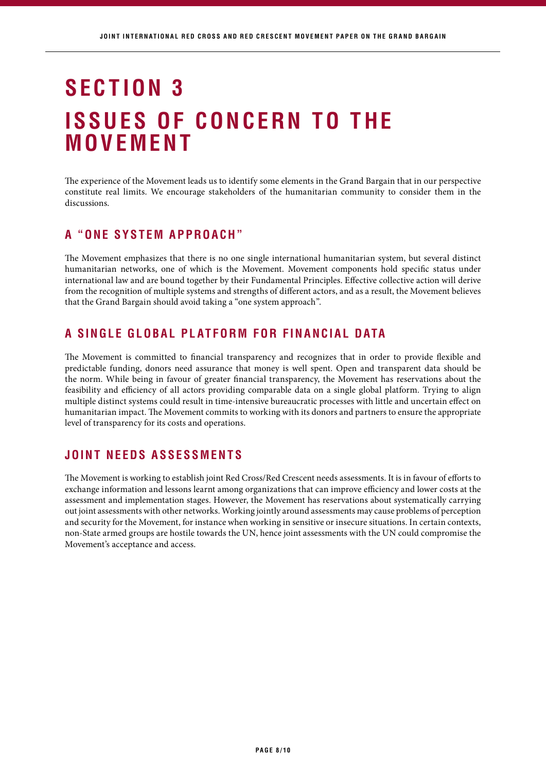## **ISSUES OF CONCERN TO THE MOVEMENT SECTION 3**

The experience of the Movement leads us to identify some elements in the Grand Bargain that in our perspective constitute real limits. We encourage stakeholders of the humanitarian community to consider them in the discussions.

## **A "ONE SYSTEM APPROACH"**

The Movement emphasizes that there is no one single international humanitarian system, but several distinct humanitarian networks, one of which is the Movement. Movement components hold specific status under international law and are bound together by their Fundamental Principles. Effective collective action will derive from the recognition of multiple systems and strengths of different actors, and as a result, the Movement believes that the Grand Bargain should avoid taking a "one system approach".

## **A SINGLE GLOBAL PLATFORM FOR FINANCIAL DATA**

The Movement is committed to financial transparency and recognizes that in order to provide flexible and predictable funding, donors need assurance that money is well spent. Open and transparent data should be the norm. While being in favour of greater financial transparency, the Movement has reservations about the feasibility and efficiency of all actors providing comparable data on a single global platform. Trying to align multiple distinct systems could result in time-intensive bureaucratic processes with little and uncertain effect on humanitarian impact. The Movement commits to working with its donors and partners to ensure the appropriate level of transparency for its costs and operations.

## **JOINT NEEDS ASSESSMENTS**

The Movement is working to establish joint Red Cross/Red Crescent needs assessments. It is in favour of efforts to exchange information and lessons learnt among organizations that can improve efficiency and lower costs at the assessment and implementation stages. However, the Movement has reservations about systematically carrying out joint assessments with other networks. Working jointly around assessments may cause problems of perception and security for the Movement, for instance when working in sensitive or insecure situations. In certain contexts, non-State armed groups are hostile towards the UN, hence joint assessments with the UN could compromise the Movement's acceptance and access.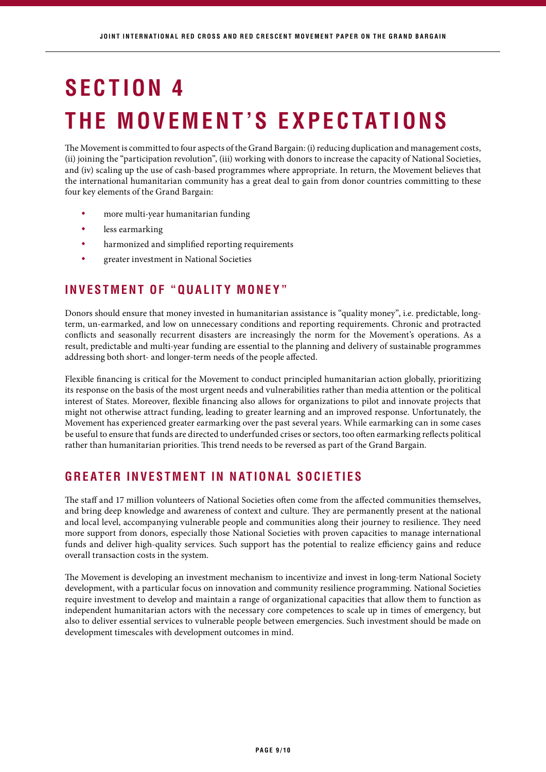# **SECTION 4 THE MOVEMENT'S EXPECTATIONS**

The Movement is committed to four aspects of the Grand Bargain: (i) reducing duplication and management costs, (ii) joining the "participation revolution", (iii) working with donors to increase the capacity of National Societies, and (iv) scaling up the use of cash-based programmes where appropriate. In return, the Movement believes that the international humanitarian community has a great deal to gain from donor countries committing to these four key elements of the Grand Bargain:

- more multi-year humanitarian funding •
- less earmarking •
- harmonized and simplified reporting requirements •
- greater investment in National Societies •

## **INVESTMENT OF "QUALITY MONEY"**

Donors should ensure that money invested in humanitarian assistance is "quality money", i.e. predictable, longterm, un-earmarked, and low on unnecessary conditions and reporting requirements. Chronic and protracted conflicts and seasonally recurrent disasters are increasingly the norm for the Movement's operations. As a result, predictable and multi-year funding are essential to the planning and delivery of sustainable programmes addressing both short- and longer-term needs of the people affected.

Flexible financing is critical for the Movement to conduct principled humanitarian action globally, prioritizing its response on the basis of the most urgent needs and vulnerabilities rather than media attention or the political interest of States. Moreover, flexible financing also allows for organizations to pilot and innovate projects that might not otherwise attract funding, leading to greater learning and an improved response. Unfortunately, the Movement has experienced greater earmarking over the past several years. While earmarking can in some cases be useful to ensure that funds are directed to underfunded crises or sectors, too often earmarking reflects political rather than humanitarian priorities. This trend needs to be reversed as part of the Grand Bargain.

## **GREATER INVESTMENT IN NATIONAL SOCIETIES**

The staff and 17 million volunteers of National Societies often come from the affected communities themselves, and bring deep knowledge and awareness of context and culture. They are permanently present at the national and local level, accompanying vulnerable people and communities along their journey to resilience. They need more support from donors, especially those National Societies with proven capacities to manage international funds and deliver high-quality services. Such support has the potential to realize efficiency gains and reduce overall transaction costs in the system.

The Movement is developing an investment mechanism to incentivize and invest in long-term National Society development, with a particular focus on innovation and community resilience programming. National Societies require investment to develop and maintain a range of organizational capacities that allow them to function as independent humanitarian actors with the necessary core competences to scale up in times of emergency, but also to deliver essential services to vulnerable people between emergencies. Such investment should be made on development timescales with development outcomes in mind.